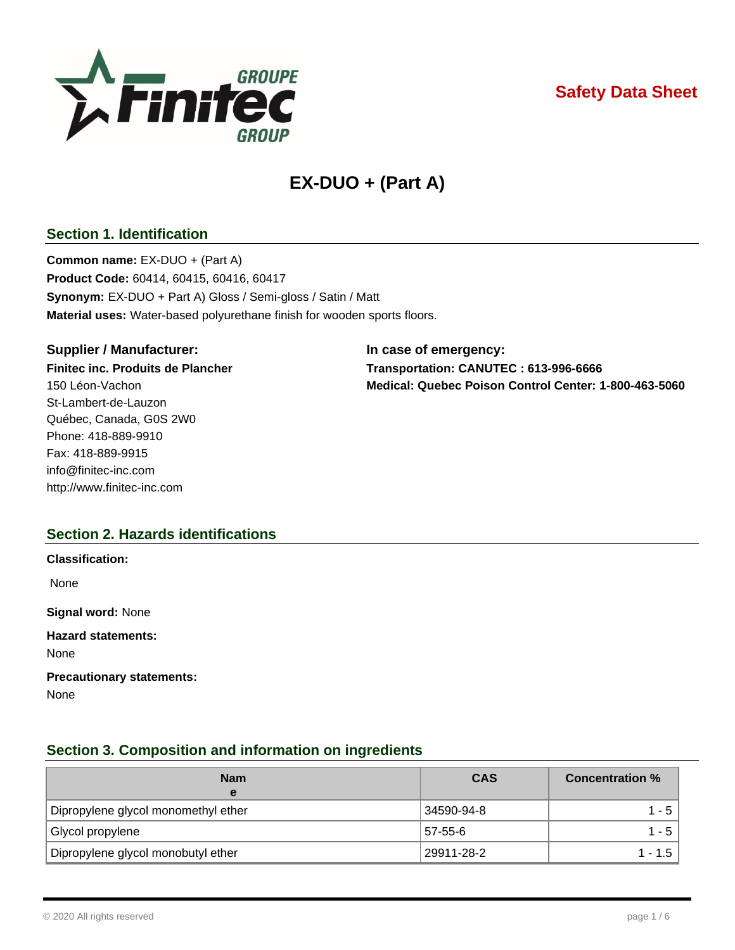

## **Safety Data Sheet**

# **EX-DUO + (Part A)**

## **Section 1. Identification**

**Common name:** EX-DUO + (Part A) **Product Code:** 60414, 60415, 60416, 60417 **Synonym:** EX-DUO + Part A) Gloss / Semi-gloss / Satin / Matt **Material uses:** Water-based polyurethane finish for wooden sports floors.

#### **Supplier / Manufacturer: In case of emergency:**

St-Lambert-de-Lauzon Québec, Canada, G0S 2W0 Phone: 418-889-9910 Fax: 418-889-9915 [info@finitec-inc.com](mailto:info@finitec-inc.com) [http://www.finitec-inc.com](http://www.finitec-inc.com/)

**Finitec inc. Produits de Plancher Transportation: CANUTEC : 613-996-6666** 150 Léon-Vachon **Medical: Quebec Poison Control Center: 1-800-463-5060**

## **Section 2. Hazards identifications**

| <b>Classification:</b>                   |
|------------------------------------------|
| None                                     |
| <b>Signal word: None</b>                 |
| <b>Hazard statements:</b><br>None        |
| <b>Precautionary statements:</b><br>None |

## **Section 3. Composition and information on ingredients**

| <b>Nam</b><br>е                     | <b>CAS</b> | <b>Concentration %</b> |
|-------------------------------------|------------|------------------------|
| Dipropylene glycol monomethyl ether | 34590-94-8 | 1 - 5                  |
| Glycol propylene                    | 57-55-6    | 1 - 5                  |
| Dipropylene glycol monobutyl ether  | 29911-28-2 | $1 - 1.5$              |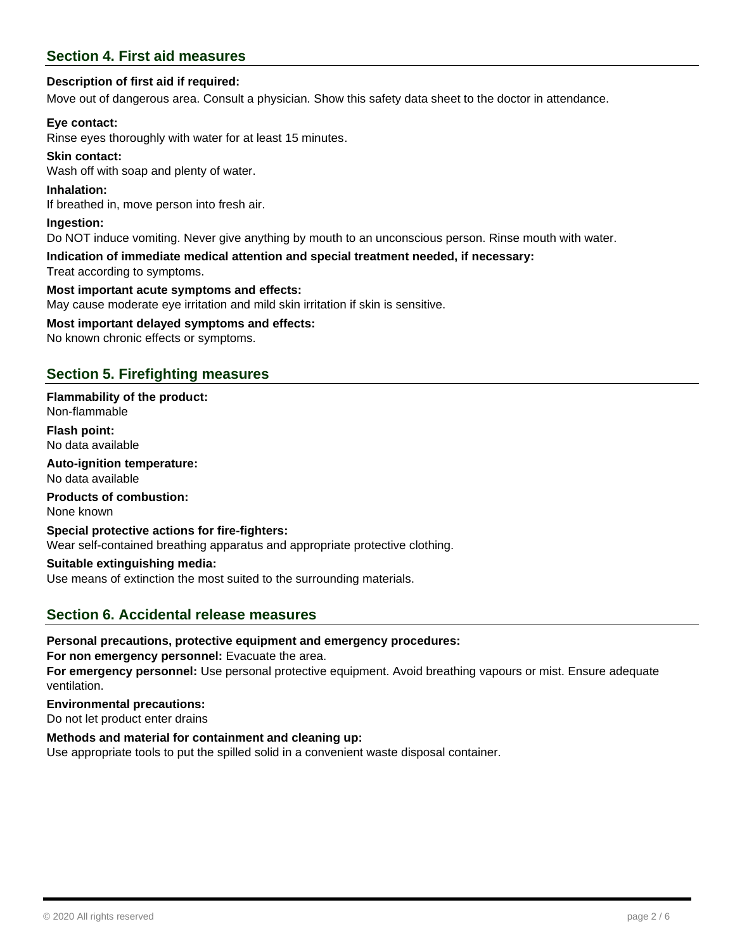## **Section 4. First aid measures**

#### **Description of first aid if required:**

Move out of dangerous area. Consult a physician. Show this safety data sheet to the doctor in attendance.

#### **Eye contact:**

Rinse eyes thoroughly with water for at least 15 minutes.

## **Skin contact:**

Wash off with soap and plenty of water.

#### **Inhalation:**

If breathed in, move person into fresh air.

#### **Ingestion:**

Do NOT induce vomiting. Never give anything by mouth to an unconscious person. Rinse mouth with water.

### **Indication of immediate medical attention and special treatment needed, if necessary:**

Treat according to symptoms.

#### **Most important acute symptoms and effects:**

May cause moderate eye irritation and mild skin irritation if skin is sensitive.

#### **Most important delayed symptoms and effects:**

No known chronic effects or symptoms.

## **Section 5. Firefighting measures**

#### **Flammability of the product:** Non-flammable

**Flash point:** No data available

### **Auto-ignition temperature:**

No data available

## **Products of combustion:**

None known

#### **Special protective actions for fire-fighters:**

Wear self-contained breathing apparatus and appropriate protective clothing.

#### **Suitable extinguishing media:**

Use means of extinction the most suited to the surrounding materials.

## **Section 6. Accidental release measures**

#### **Personal precautions, protective equipment and emergency procedures:**

**For non emergency personnel:** Evacuate the area.

**For emergency personnel:** Use personal protective equipment. Avoid breathing vapours or mist. Ensure adequate ventilation.

#### **Environmental precautions:**

Do not let product enter drains

#### **Methods and material for containment and cleaning up:**

Use appropriate tools to put the spilled solid in a convenient waste disposal container.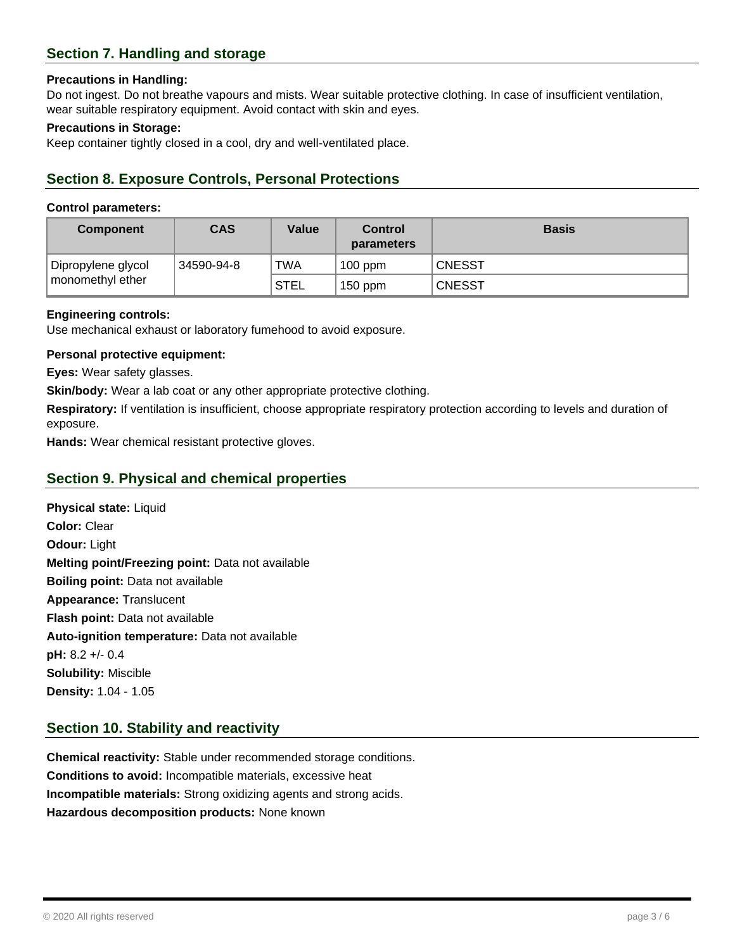## **Section 7. Handling and storage**

#### **Precautions in Handling:**

Do not ingest. Do not breathe vapours and mists. Wear suitable protective clothing. In case of insufficient ventilation, wear suitable respiratory equipment. Avoid contact with skin and eyes.

#### **Precautions in Storage:**

Keep container tightly closed in a cool, dry and well-ventilated place.

## **Section 8. Exposure Controls, Personal Protections**

#### **Control parameters:**

| <b>Component</b>                       | <b>CAS</b> | Value       | Control<br><b>parameters</b> | <b>Basis</b>  |
|----------------------------------------|------------|-------------|------------------------------|---------------|
| Dipropylene glycol<br>monomethyl ether | 34590-94-8 | TWA         | $100$ ppm                    | <b>CNESST</b> |
|                                        |            | <b>STEL</b> | $150$ ppm                    | <b>CNESST</b> |

#### **Engineering controls:**

Use mechanical exhaust or laboratory fumehood to avoid exposure.

#### **Personal protective equipment:**

**Eyes:** Wear safety glasses.

**Skin/body:** Wear a lab coat or any other appropriate protective clothing.

**Respiratory:** If ventilation is insufficient, choose appropriate respiratory protection according to levels and duration of exposure.

**Hands:** Wear chemical resistant protective gloves.

## **Section 9. Physical and chemical properties**

**Physical state:** Liquid **Color:** Clear **Odour:** Light **Melting point/Freezing point:** Data not available **Boiling point:** Data not available **Appearance:** Translucent **Flash point:** Data not available **Auto-ignition temperature:** Data not available **pH:** 8.2 +/- 0.4 **Solubility:** Miscible **Density:** 1.04 - 1.05

## **Section 10. Stability and reactivity**

**Chemical reactivity:** Stable under recommended storage conditions. **Conditions to avoid:** Incompatible materials, excessive heat **Incompatible materials:** Strong oxidizing agents and strong acids. **Hazardous decomposition products:** None known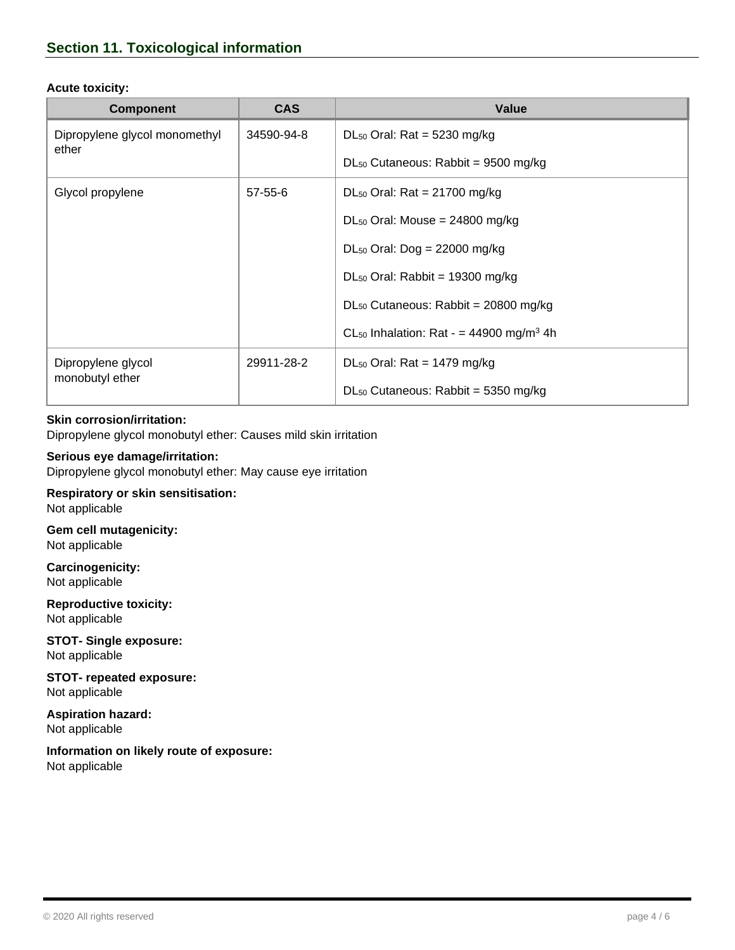#### **Acute toxicity:**

| <b>Component</b>                       | <b>CAS</b>    | Value                                                             |
|----------------------------------------|---------------|-------------------------------------------------------------------|
| Dipropylene glycol monomethyl<br>ether | 34590-94-8    | $DL_{50}$ Oral: Rat = 5230 mg/kg                                  |
|                                        |               | $DL_{50}$ Cutaneous: Rabbit = 9500 mg/kg                          |
| Glycol propylene                       | $57 - 55 - 6$ | $DL_{50}$ Oral: Rat = 21700 mg/kg                                 |
|                                        |               | $DL_{50}$ Oral: Mouse = 24800 mg/kg                               |
|                                        |               | $DL_{50}$ Oral: Dog = 22000 mg/kg                                 |
|                                        |               | $DL_{50}$ Oral: Rabbit = 19300 mg/kg                              |
|                                        |               | $DL_{50}$ Cutaneous: Rabbit = 20800 mg/kg                         |
|                                        |               | CL <sub>50</sub> Inhalation: Rat - $=$ 44900 mg/m <sup>3</sup> 4h |
| Dipropylene glycol<br>monobutyl ether  | 29911-28-2    | $DL_{50}$ Oral: Rat = 1479 mg/kg                                  |
|                                        |               | $DL_{50}$ Cutaneous: Rabbit = 5350 mg/kg                          |

#### **Skin corrosion/irritation:**

Dipropylene glycol monobutyl ether: Causes mild skin irritation

### **Serious eye damage/irritation:**

Dipropylene glycol monobutyl ether: May cause eye irritation

**Respiratory or skin sensitisation:** Not applicable

## **Gem cell mutagenicity:** Not applicable

**Carcinogenicity:** Not applicable

**Reproductive toxicity:** Not applicable

**STOT- Single exposure:** Not applicable

**STOT- repeated exposure:** Not applicable

**Aspiration hazard:** Not applicable

**Information on likely route of exposure:** Not applicable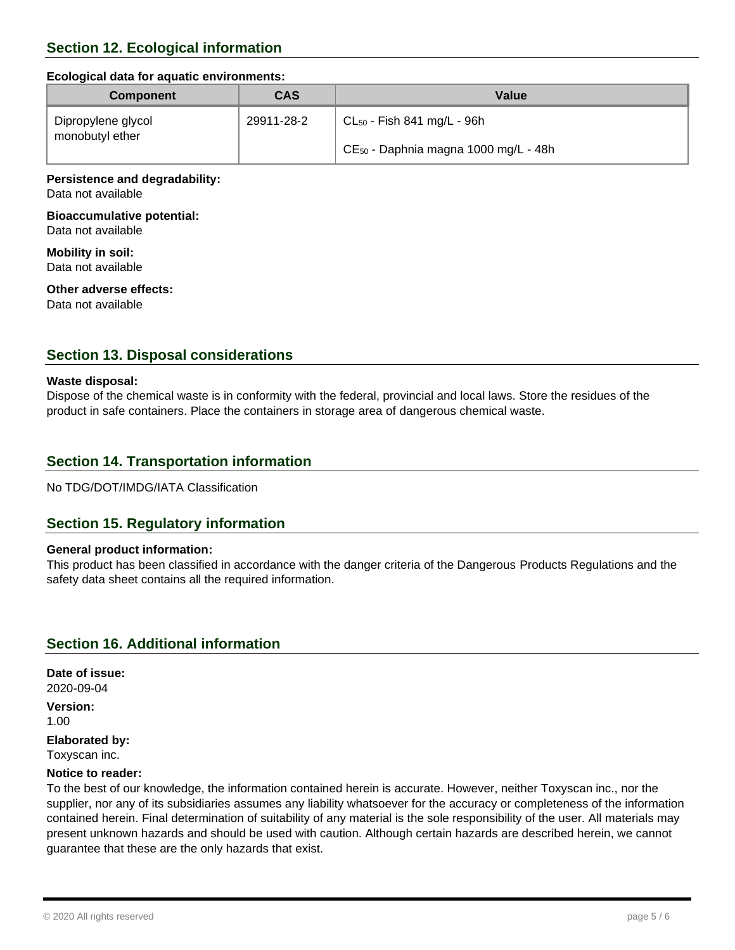#### **Ecological data for aquatic environments:**

| <b>Component</b>                      | <b>CAS</b> | Value                                     |
|---------------------------------------|------------|-------------------------------------------|
| Dipropylene glycol<br>monobutyl ether | 29911-28-2 | $CL_{50}$ - Fish 841 mg/L - 96h           |
|                                       |            | $CE_{50}$ - Daphnia magna 1000 mg/L - 48h |

#### **Persistence and degradability:** Data not available

## **Bioaccumulative potential:**

Data not available

**Mobility in soil:** Data not available

#### **Other adverse effects:**

Data not available

## **Section 13. Disposal considerations**

#### **Waste disposal:**

Dispose of the chemical waste is in conformity with the federal, provincial and local laws. Store the residues of the product in safe containers. Place the containers in storage area of dangerous chemical waste.

## **Section 14. Transportation information**

No TDG/DOT/IMDG/IATA Classification

## **Section 15. Regulatory information**

#### **General product information:**

This product has been classified in accordance with the danger criteria of the Dangerous Products Regulations and the safety data sheet contains all the required information.

## **Section 16. Additional information**

**Date of issue:** 2020-09-04 **Version:**

1.00

**Elaborated by:**

Toxyscan inc.

#### **Notice to reader:**

To the best of our knowledge, the information contained herein is accurate. However, neither Toxyscan inc., nor the supplier, nor any of its subsidiaries assumes any liability whatsoever for the accuracy or completeness of the information contained herein. Final determination of suitability of any material is the sole responsibility of the user. All materials may present unknown hazards and should be used with caution. Although certain hazards are described herein, we cannot guarantee that these are the only hazards that exist.